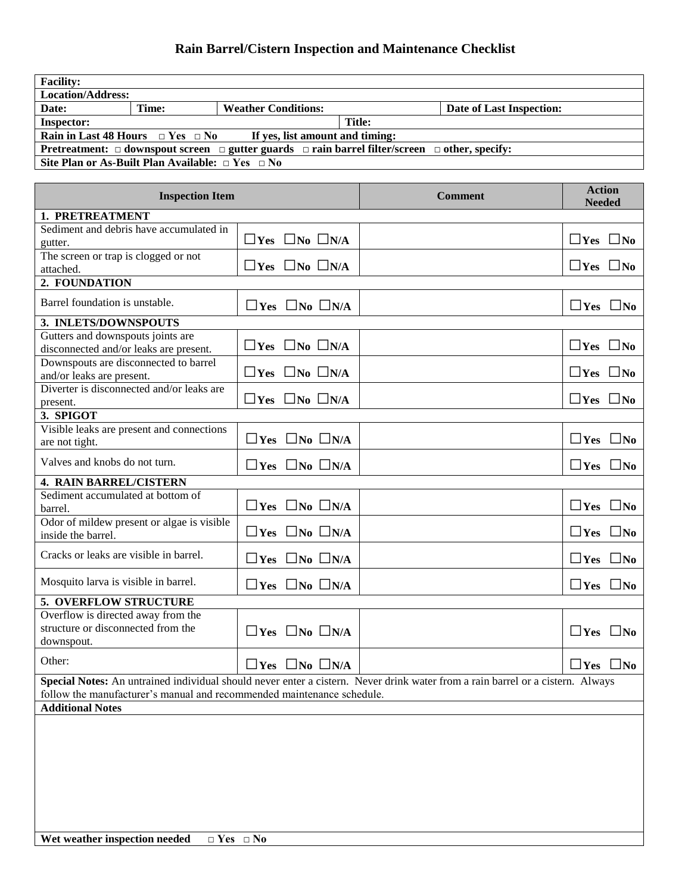## **Rain Barrel/Cistern Inspection and Maintenance Checklist**

| <b>Facility:</b>                                                                                                   |       |                            |        |                          |  |  |
|--------------------------------------------------------------------------------------------------------------------|-------|----------------------------|--------|--------------------------|--|--|
| <b>Location/Address:</b>                                                                                           |       |                            |        |                          |  |  |
| Date:                                                                                                              | Time: | <b>Weather Conditions:</b> |        | Date of Last Inspection: |  |  |
| <b>Inspector:</b>                                                                                                  |       |                            | Title: |                          |  |  |
| Rain in Last 48 Hours $\Box$ Yes $\Box$ No<br>If yes, list amount and timing:                                      |       |                            |        |                          |  |  |
| Pretreatment: $\Box$ downspout screen $\Box$ gutter guards $\Box$ rain barrel filter/screen $\Box$ other, specify: |       |                            |        |                          |  |  |
| Site Plan or As-Built Plan Available: $\Box$ Yes $\Box$ No                                                         |       |                            |        |                          |  |  |

| <b>Inspection Item</b>                                                                                                         |                                 | <b>Comment</b> | <b>Action</b><br><b>Needed</b> |  |  |  |
|--------------------------------------------------------------------------------------------------------------------------------|---------------------------------|----------------|--------------------------------|--|--|--|
| 1. PRETREATMENT                                                                                                                |                                 |                |                                |  |  |  |
| Sediment and debris have accumulated in                                                                                        |                                 |                |                                |  |  |  |
| gutter.                                                                                                                        | $\Box$ Yes $\Box$ No $\Box$ N/A |                | $\Box$ Yes $\Box$ No           |  |  |  |
| The screen or trap is clogged or not                                                                                           | $\Box$ Yes $\Box$ No $\Box$ N/A |                | $\Box$ Yes $\Box$ No           |  |  |  |
| attached.<br>2. FOUNDATION                                                                                                     |                                 |                |                                |  |  |  |
|                                                                                                                                |                                 |                |                                |  |  |  |
| Barrel foundation is unstable.                                                                                                 | $\Box$ Yes $\Box$ No $\Box$ N/A |                | $\Box$ Yes $\Box$ No           |  |  |  |
| 3. INLETS/DOWNSPOUTS                                                                                                           |                                 |                |                                |  |  |  |
| Gutters and downspouts joints are<br>disconnected and/or leaks are present.                                                    | $\Box$ Yes $\Box$ No $\Box$ N/A |                | $\Box$ Yes $\Box$ No           |  |  |  |
| Downspouts are disconnected to barrel<br>and/or leaks are present.                                                             | $\Box$ Yes $\Box$ No $\Box$ N/A |                | $\Box$ Yes $\Box$ No           |  |  |  |
| Diverter is disconnected and/or leaks are<br>present.                                                                          | $\Box$ Yes $\Box$ No $\Box$ N/A |                | $\Box$ Yes $\Box$ No           |  |  |  |
| 3. SPIGOT                                                                                                                      |                                 |                |                                |  |  |  |
| Visible leaks are present and connections                                                                                      |                                 |                |                                |  |  |  |
| are not tight.                                                                                                                 | $\Box$ Yes $\Box$ No $\Box$ N/A |                | $\Box$ Yes $\Box$ No           |  |  |  |
| Valves and knobs do not turn.                                                                                                  | $\Box$ Yes $\Box$ No $\Box$ N/A |                | $\Box$ Yes $\Box$ No           |  |  |  |
| <b>4. RAIN BARREL/CISTERN</b>                                                                                                  |                                 |                |                                |  |  |  |
| Sediment accumulated at bottom of<br>barrel.                                                                                   | $\Box$ Yes $\Box$ No $\Box$ N/A |                | $\Box$ Yes $\Box$ No           |  |  |  |
| Odor of mildew present or algae is visible<br>inside the barrel.                                                               | $\Box$ Yes $\Box$ No $\Box$ N/A |                | $\Box$ Yes $\Box$ No           |  |  |  |
| Cracks or leaks are visible in barrel.                                                                                         | $\Box$ Yes $\Box$ No $\Box$ N/A |                | $\Box$ Yes $\Box$ No           |  |  |  |
| Mosquito larva is visible in barrel.                                                                                           | $\Box$ Yes $\Box$ No $\Box$ N/A |                | $\Box$ Yes $\Box$ No           |  |  |  |
| 5. OVERFLOW STRUCTURE                                                                                                          |                                 |                |                                |  |  |  |
| Overflow is directed away from the<br>structure or disconnected from the<br>downspout.                                         | $\Box$ Yes $\Box$ No $\Box$ N/A |                | $\Box$ Yes $\Box$ No           |  |  |  |
| Other:                                                                                                                         | $\Box$ Yes $\Box$ No $\Box$ N/A |                | $\Box$ Yes $\Box$ No           |  |  |  |
| Special Notes: An untrained individual should never enter a cistern. Never drink water from a rain barrel or a cistern. Always |                                 |                |                                |  |  |  |
| follow the manufacturer's manual and recommended maintenance schedule.                                                         |                                 |                |                                |  |  |  |
| <b>Additional Notes</b>                                                                                                        |                                 |                |                                |  |  |  |
|                                                                                                                                |                                 |                |                                |  |  |  |